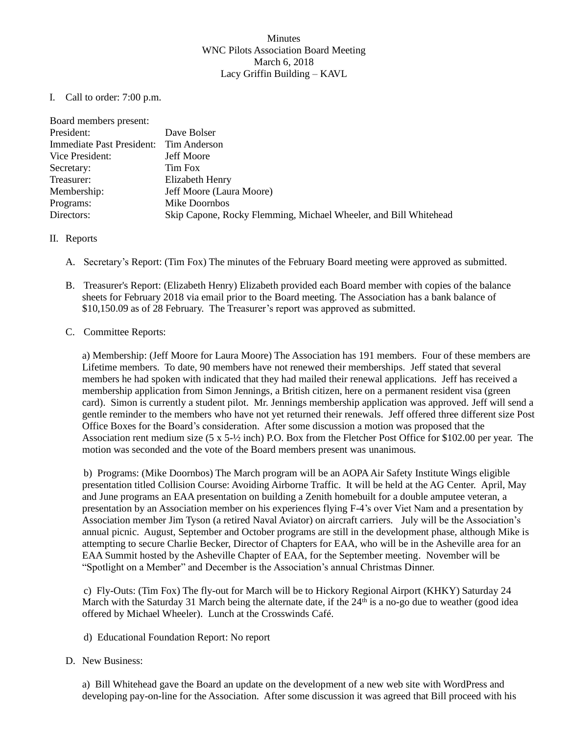## **Minutes** WNC Pilots Association Board Meeting March 6, 2018 Lacy Griffin Building – KAVL

I. Call to order: 7:00 p.m.

| Board members present:    |                                                                  |
|---------------------------|------------------------------------------------------------------|
| President:                | Dave Bolser                                                      |
| Immediate Past President: | Tim Anderson                                                     |
| Vice President:           | <b>Jeff Moore</b>                                                |
| Secretary:                | Tim Fox                                                          |
| Treasurer:                | Elizabeth Henry                                                  |
| Membership:               | Jeff Moore (Laura Moore)                                         |
| Programs:                 | Mike Doornbos                                                    |
| Directors:                | Skip Capone, Rocky Flemming, Michael Wheeler, and Bill Whitehead |

## II. Reports

- A. Secretary's Report: (Tim Fox) The minutes of the February Board meeting were approved as submitted.
- B. Treasurer's Report: (Elizabeth Henry) Elizabeth provided each Board member with copies of the balance sheets for February 2018 via email prior to the Board meeting. The Association has a bank balance of \$10,150.09 as of 28 February. The Treasurer's report was approved as submitted.

## C. Committee Reports:

a) Membership: (Jeff Moore for Laura Moore) The Association has 191 members. Four of these members are Lifetime members. To date, 90 members have not renewed their memberships. Jeff stated that several members he had spoken with indicated that they had mailed their renewal applications. Jeff has received a membership application from Simon Jennings, a British citizen, here on a permanent resident visa (green card). Simon is currently a student pilot. Mr. Jennings membership application was approved. Jeff will send a gentle reminder to the members who have not yet returned their renewals. Jeff offered three different size Post Office Boxes for the Board's consideration. After some discussion a motion was proposed that the Association rent medium size (5 x 5-½ inch) P.O. Box from the Fletcher Post Office for \$102.00 per year. The motion was seconded and the vote of the Board members present was unanimous.

b) Programs: (Mike Doornbos) The March program will be an AOPA Air Safety Institute Wings eligible presentation titled Collision Course: Avoiding Airborne Traffic. It will be held at the AG Center. April, May and June programs an EAA presentation on building a Zenith homebuilt for a double amputee veteran, a presentation by an Association member on his experiences flying F-4's over Viet Nam and a presentation by Association member Jim Tyson (a retired Naval Aviator) on aircraft carriers. July will be the Association's annual picnic. August, September and October programs are still in the development phase, although Mike is attempting to secure Charlie Becker, Director of Chapters for EAA, who will be in the Asheville area for an EAA Summit hosted by the Asheville Chapter of EAA, for the September meeting. November will be "Spotlight on a Member" and December is the Association's annual Christmas Dinner.

c) Fly-Outs: (Tim Fox) The fly-out for March will be to Hickory Regional Airport (KHKY) Saturday 24 March with the Saturday 31 March being the alternate date, if the  $24<sup>th</sup>$  is a no-go due to weather (good idea offered by Michael Wheeler). Lunch at the Crosswinds Café.

d) Educational Foundation Report: No report

## D. New Business:

a) Bill Whitehead gave the Board an update on the development of a new web site with WordPress and developing pay-on-line for the Association. After some discussion it was agreed that Bill proceed with his